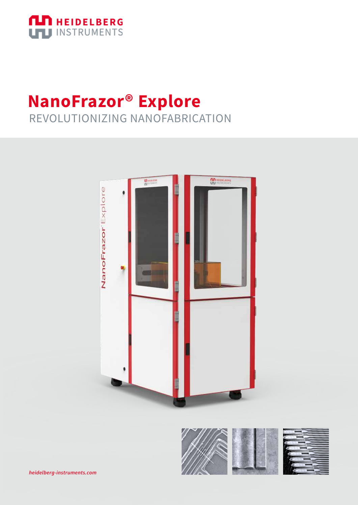

## **NanoFrazor® Explore** REVOLUTIONIZING NANOFABRICATION



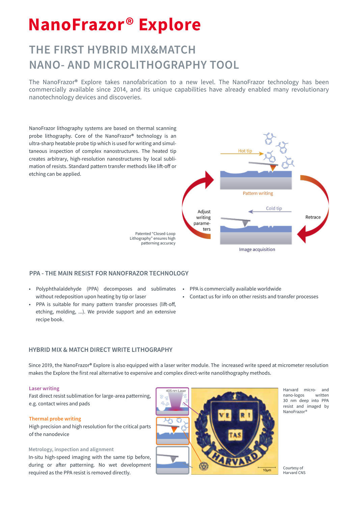# **NanoFrazor® Explore**

### **THE FIRST HYBRID MIX&MATCH NANO- AND MICROLITHOGRAPHY TOOL**

The NanoFrazor® Explore takes nanofabrication to a new level. The NanoFrazor technology has been commercially available since 2014, and its unique capabilities have already enabled many revolutionary nanotechnology devices and discoveries.

NanoFrazor lithography systems are based on thermal scanning probe lithography. Core of the NanoFrazor® technology is an ultra-sharp heatable probe tip which is used for writing and simultaneous inspection of complex nanostructures. The heated tip creates arbitrary, high-resolution nanostructures by local sublimation of resists. Standard pattern transfer methods like lift-off or etching can be applied.



**PPA - THE MAIN RESIST FOR NANOFRAZOR TECHNOLOGY**

- 
- Polyphthalaldehyde (PPA) decomposes and sublimates without redeposition upon heating by tip or laser
- PPA is suitable for many pattern transfer processes (lift-off, etching, molding, ...). We provide support and an extensive recipe book.
- PPA is commercially available worldwide
- Contact us for info on other resists and transfer processes

#### **HYBRID MIX & MATCH DIRECT WRITE LITHOGRAPHY**

Since 2019, the NanoFrazor® Explore is also equipped with a laser writer module. The increased write speed at micrometer resolution makes the Explore the first real alternative to expensive and complex direct-write nanolithography methods.

#### **Laser writing**

Fast direct resist sublimation for large-area patterning, e.g. contact wires and pads

#### **Thermal probe writing**

High precision and high resolution for the critical parts of the nanodevice

#### **Metrology, inspection and alignment**

In-situ high-speed imaging with the same tip before, during or after patterning. No wet development required as the PPA resist is removed directly.



Harvard micro- and nano-logos written 30 nm deep into PPA resist and imaged by NanoFrazor®

Courtesy of Harvard CNS

 $10<sub>um</sub>$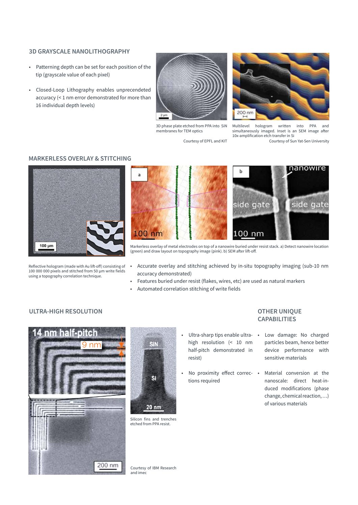#### **3D GRAYSCALE NANOLITHOGRAPHY**

- Patterning depth can be set for each position of the tip (grayscale value of each pixel)
- Closed-Loop Lithography enables unprecendeted accuracy (< 1 nm error demonstrated for more than 16 individual depth levels)



3D phase plate etched from PPA into SiN membranes for TEM optics

Courtesy of EPFL and KIT



Multilevel hologram written into PPA and simultaneously imaged. Inset is an SEM image after 10x-amplification etch transfer in Si

Courtesy of Sun Yat-Sen University

#### **MARKERLESS OVERLAY & STITCHING**



Reflective hologram (made with Au lift-off) consisting of 100 000 000 pixels and stitched from 50 µm write fields using a topography correlation technique.



Markerless overlay of metal electrodes on top of a nanowire buried under resist stack. a) Detect nanowire location (green) and draw layout on topography image (pink). b) SEM after lift-off.

- Accurate overlay and stitching achieved by in-situ topography imaging (sub-10 nm accuracy demonstrated)
- Features buried under resist (flakes, wires, etc) are used as natural markers
- Automated correlation stitching of write fields

#### **ULTRA-HIGH RESOLUTION**





Silicon fins and trenches etched from PPA resist.

- Ultra-sharp tips enable ultra- Low damage: No charged high resolution (< 10 nm half-pitch demonstrated in resist)
- No proximity effect correc-• Material conversion at the tions required

#### **OTHER UNIQUE CAPABILITIES**

- particles beam, hence better device performance with sensitive materials
- nanoscale: direct heat-induced modifications (phase change, chemical reaction, …) of various materials

Courtesy of IBM Research and imec